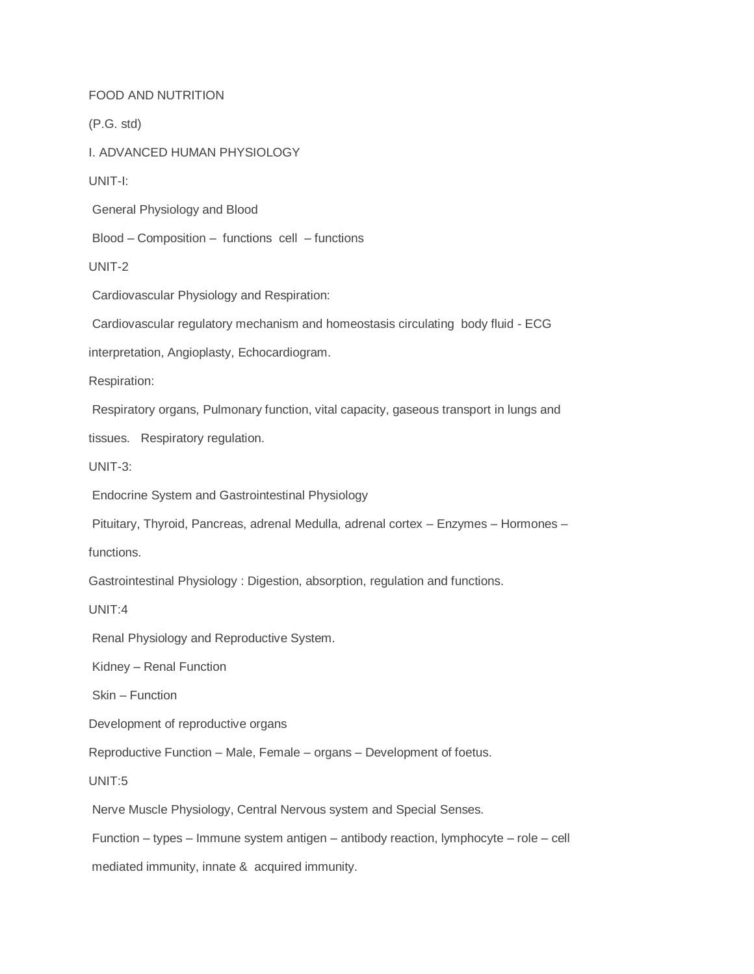## FOOD AND NUTRITION

(P.G. std)

I. ADVANCED HUMAN PHYSIOLOGY

UNIT-I:

General Physiology and Blood

Blood – Composition – functions cell – functions

UNIT-2

Cardiovascular Physiology and Respiration:

Cardiovascular regulatory mechanism and homeostasis circulating body fluid - ECG

interpretation, Angioplasty, Echocardiogram.

Respiration:

Respiratory organs, Pulmonary function, vital capacity, gaseous transport in lungs and

tissues. Respiratory regulation.

UNIT-3:

Endocrine System and Gastrointestinal Physiology

Pituitary, Thyroid, Pancreas, adrenal Medulla, adrenal cortex – Enzymes – Hormones –

functions.

Gastrointestinal Physiology : Digestion, absorption, regulation and functions.

UNIT:4

Renal Physiology and Reproductive System.

Kidney – Renal Function

Skin – Function

Development of reproductive organs

Reproductive Function – Male, Female – organs – Development of foetus.

UNIT:5

Nerve Muscle Physiology, Central Nervous system and Special Senses.

Function – types – Immune system antigen – antibody reaction, lymphocyte – role – cell

mediated immunity, innate & acquired immunity.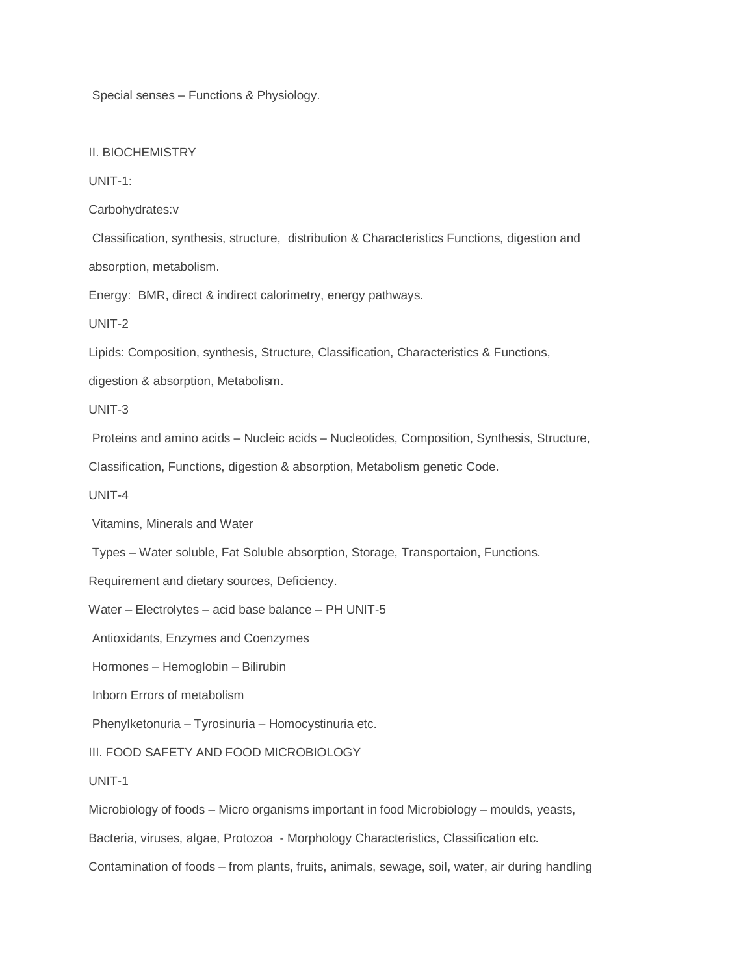Special senses – Functions & Physiology.

II. BIOCHEMISTRY

UNIT-1:

Carbohydrates:v

Classification, synthesis, structure, distribution & Characteristics Functions, digestion and

absorption, metabolism.

Energy: BMR, direct & indirect calorimetry, energy pathways.

UNIT-2

Lipids: Composition, synthesis, Structure, Classification, Characteristics & Functions,

digestion & absorption, Metabolism.

UNIT-3

Proteins and amino acids – Nucleic acids – Nucleotides, Composition, Synthesis, Structure,

Classification, Functions, digestion & absorption, Metabolism genetic Code.

UNIT-4

Vitamins, Minerals and Water

Types – Water soluble, Fat Soluble absorption, Storage, Transportaion, Functions.

Requirement and dietary sources, Deficiency.

Water – Electrolytes – acid base balance – PH UNIT-5

Antioxidants, Enzymes and Coenzymes

Hormones – Hemoglobin – Bilirubin

Inborn Errors of metabolism

Phenylketonuria – Tyrosinuria – Homocystinuria etc.

III. FOOD SAFETY AND FOOD MICROBIOLOGY

UNIT-1

Microbiology of foods – Micro organisms important in food Microbiology – moulds, yeasts,

Bacteria, viruses, algae, Protozoa - Morphology Characteristics, Classification etc.

Contamination of foods – from plants, fruits, animals, sewage, soil, water, air during handling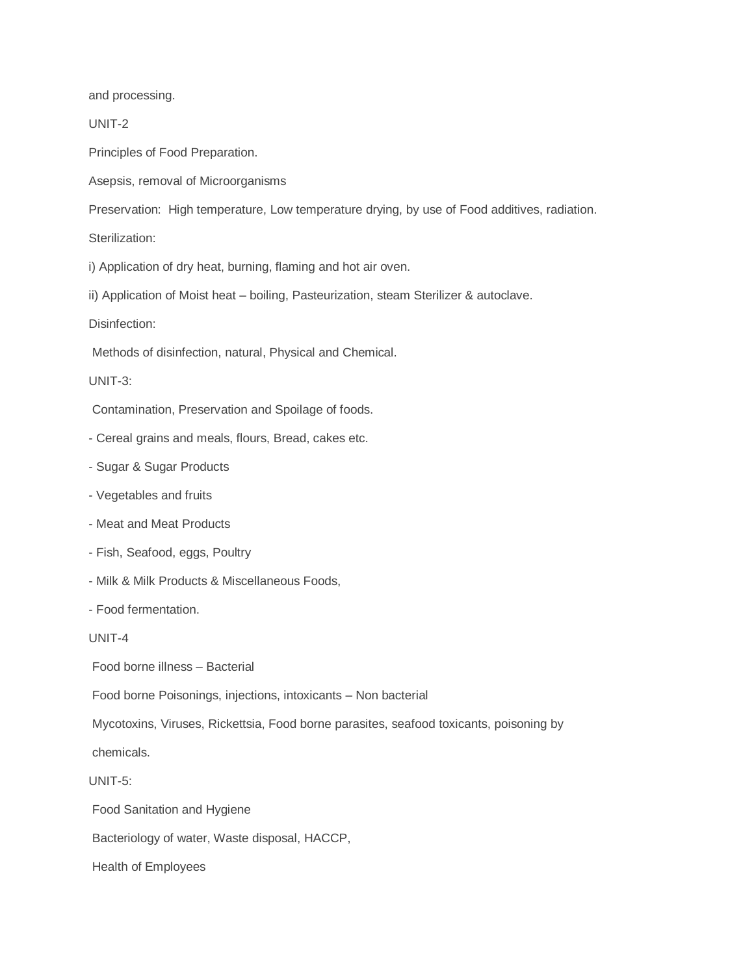and processing.

UNIT-2

Principles of Food Preparation.

Asepsis, removal of Microorganisms

Preservation: High temperature, Low temperature drying, by use of Food additives, radiation.

Sterilization:

i) Application of dry heat, burning, flaming and hot air oven.

ii) Application of Moist heat – boiling, Pasteurization, steam Sterilizer & autoclave.

Disinfection:

Methods of disinfection, natural, Physical and Chemical.

UNIT-3:

Contamination, Preservation and Spoilage of foods.

- Cereal grains and meals, flours, Bread, cakes etc.
- Sugar & Sugar Products
- Vegetables and fruits
- Meat and Meat Products
- Fish, Seafood, eggs, Poultry
- Milk & Milk Products & Miscellaneous Foods,

- Food fermentation.

UNIT-4

Food borne illness – Bacterial

Food borne Poisonings, injections, intoxicants – Non bacterial

Mycotoxins, Viruses, Rickettsia, Food borne parasites, seafood toxicants, poisoning by

chemicals.

UNIT-5:

Food Sanitation and Hygiene

Bacteriology of water, Waste disposal, HACCP,

Health of Employees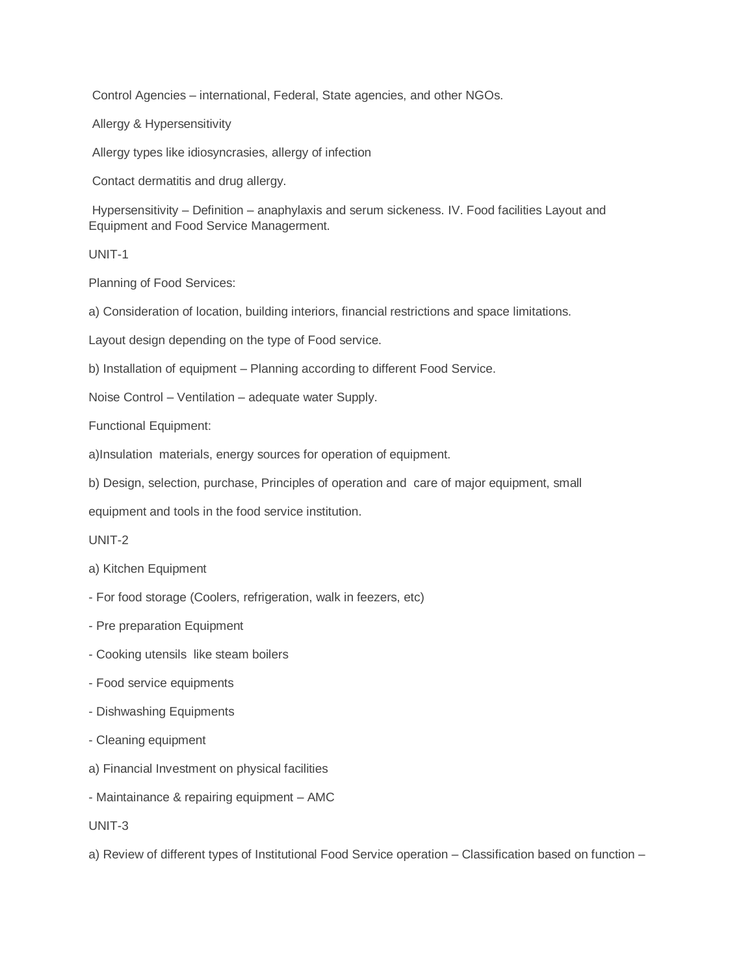Control Agencies – international, Federal, State agencies, and other NGOs.

Allergy & Hypersensitivity

Allergy types like idiosyncrasies, allergy of infection

Contact dermatitis and drug allergy.

Hypersensitivity – Definition – anaphylaxis and serum sickeness. IV. Food facilities Layout and Equipment and Food Service Managerment.

UNIT-1

Planning of Food Services:

a) Consideration of location, building interiors, financial restrictions and space limitations.

Layout design depending on the type of Food service.

b) Installation of equipment – Planning according to different Food Service.

Noise Control – Ventilation – adequate water Supply.

Functional Equipment:

a)Insulation materials, energy sources for operation of equipment.

b) Design, selection, purchase, Principles of operation and care of major equipment, small

equipment and tools in the food service institution.

UNIT-2

a) Kitchen Equipment

- For food storage (Coolers, refrigeration, walk in feezers, etc)
- Pre preparation Equipment
- Cooking utensils like steam boilers
- Food service equipments
- Dishwashing Equipments
- Cleaning equipment
- a) Financial Investment on physical facilities
- Maintainance & repairing equipment AMC

UNIT-3

a) Review of different types of Institutional Food Service operation – Classification based on function –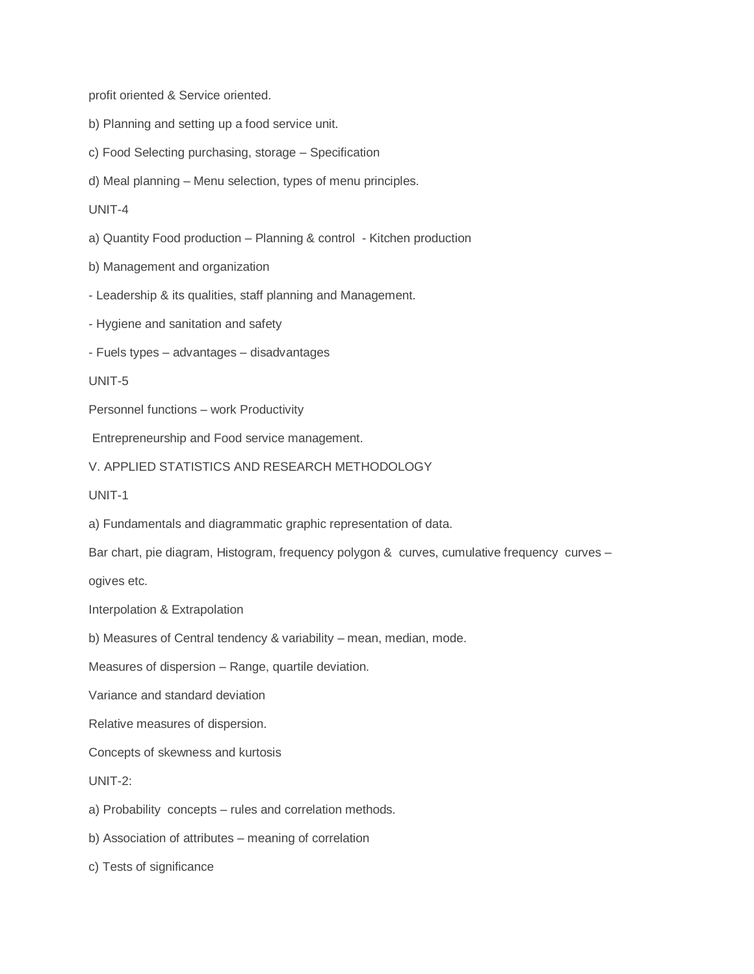profit oriented & Service oriented.

- b) Planning and setting up a food service unit.
- c) Food Selecting purchasing, storage Specification

d) Meal planning – Menu selection, types of menu principles.

UNIT-4

a) Quantity Food production – Planning & control - Kitchen production

b) Management and organization

- Leadership & its qualities, staff planning and Management.

- Hygiene and sanitation and safety

- Fuels types – advantages – disadvantages

UNIT-5

Personnel functions – work Productivity

Entrepreneurship and Food service management.

V. APPLIED STATISTICS AND RESEARCH METHODOLOGY

UNIT-1

a) Fundamentals and diagrammatic graphic representation of data.

Bar chart, pie diagram, Histogram, frequency polygon & curves, cumulative frequency curves –

ogives etc.

Interpolation & Extrapolation

b) Measures of Central tendency & variability – mean, median, mode.

Measures of dispersion – Range, quartile deviation.

Variance and standard deviation

Relative measures of dispersion.

Concepts of skewness and kurtosis

UNIT-2:

a) Probability concepts – rules and correlation methods.

b) Association of attributes – meaning of correlation

c) Tests of significance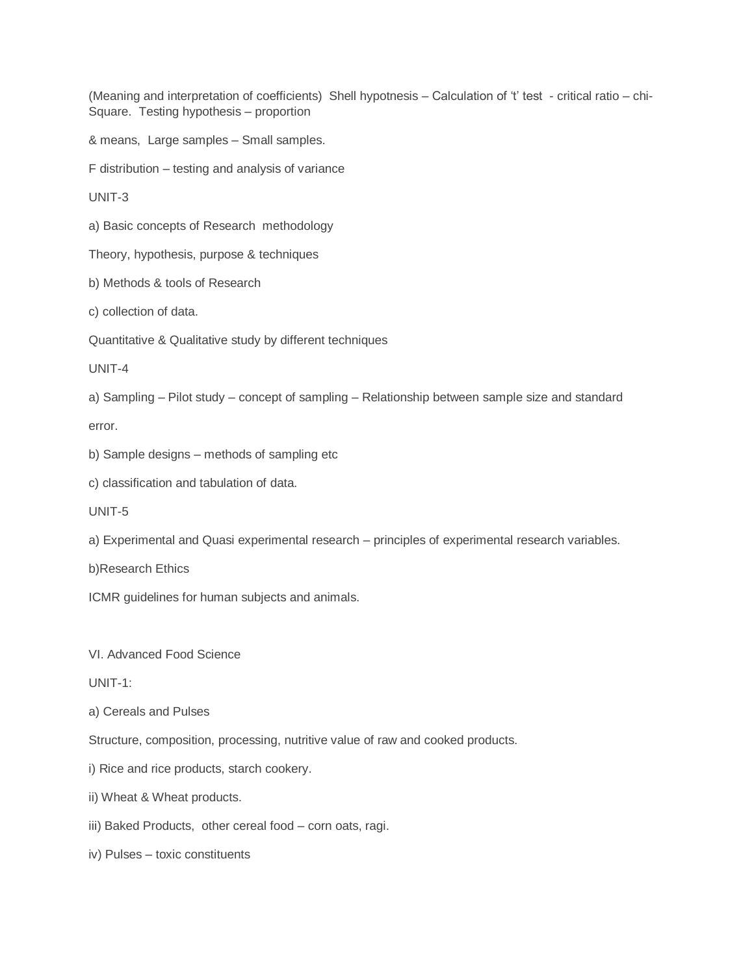(Meaning and interpretation of coefficients) Shell hypotnesis – Calculation of "t" test - critical ratio – chi-Square. Testing hypothesis – proportion

& means, Large samples – Small samples.

F distribution – testing and analysis of variance

UNIT-3

a) Basic concepts of Research methodology

Theory, hypothesis, purpose & techniques

b) Methods & tools of Research

c) collection of data.

Quantitative & Qualitative study by different techniques

UNIT-4

a) Sampling – Pilot study – concept of sampling – Relationship between sample size and standard

error.

b) Sample designs – methods of sampling etc

c) classification and tabulation of data.

UNIT-5

a) Experimental and Quasi experimental research – principles of experimental research variables.

b)Research Ethics

ICMR guidelines for human subjects and animals.

VI. Advanced Food Science

UNIT-1:

a) Cereals and Pulses

Structure, composition, processing, nutritive value of raw and cooked products.

i) Rice and rice products, starch cookery.

ii) Wheat & Wheat products.

iii) Baked Products, other cereal food – corn oats, ragi.

iv) Pulses – toxic constituents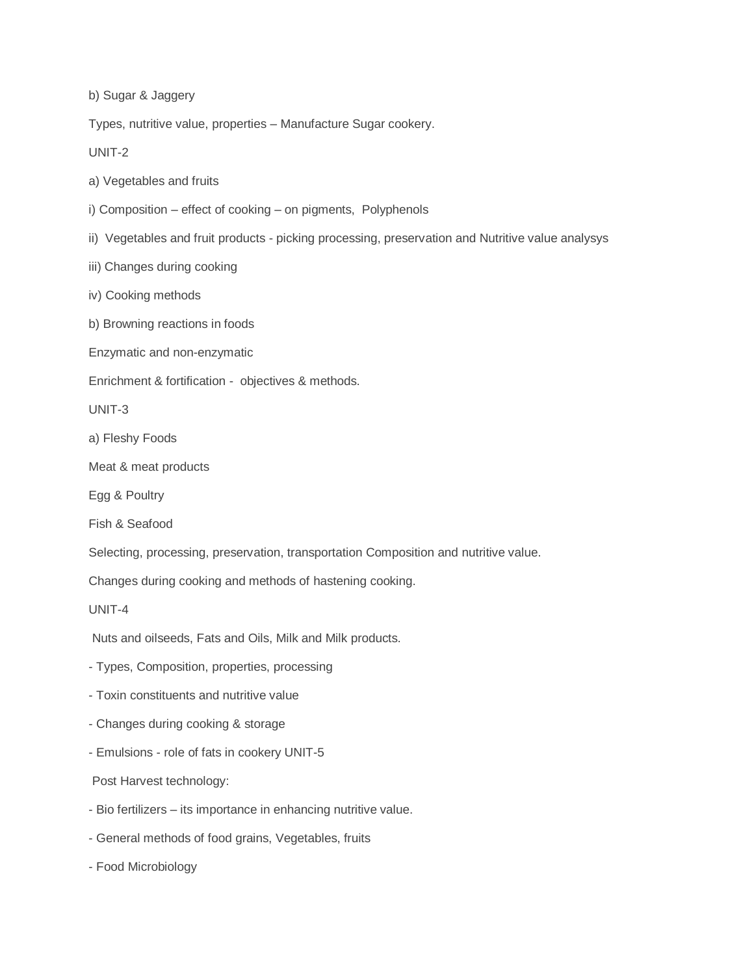b) Sugar & Jaggery

Types, nutritive value, properties – Manufacture Sugar cookery.

UNIT-2

a) Vegetables and fruits

- i) Composition effect of cooking on pigments, Polyphenols
- ii) Vegetables and fruit products picking processing, preservation and Nutritive value analysys
- iii) Changes during cooking
- iv) Cooking methods
- b) Browning reactions in foods
- Enzymatic and non-enzymatic
- Enrichment & fortification objectives & methods.

UNIT-3

- a) Fleshy Foods
- Meat & meat products
- Egg & Poultry
- Fish & Seafood
- Selecting, processing, preservation, transportation Composition and nutritive value.
- Changes during cooking and methods of hastening cooking.

UNIT-4

Nuts and oilseeds, Fats and Oils, Milk and Milk products.

- Types, Composition, properties, processing
- Toxin constituents and nutritive value
- Changes during cooking & storage
- Emulsions role of fats in cookery UNIT-5

Post Harvest technology:

- Bio fertilizers its importance in enhancing nutritive value.
- General methods of food grains, Vegetables, fruits
- Food Microbiology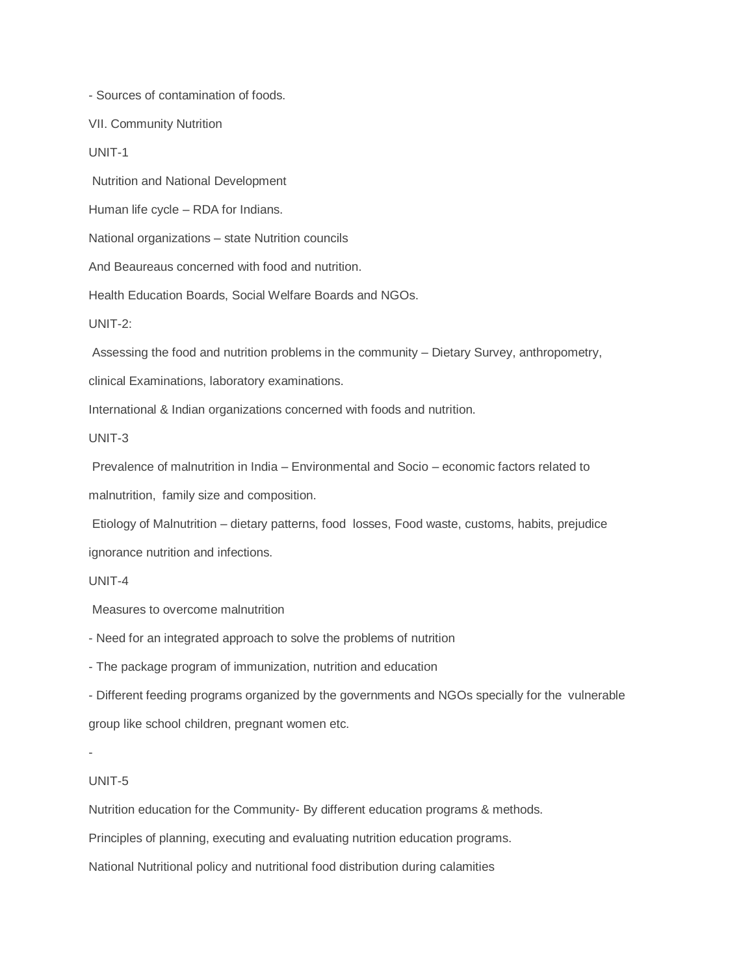- Sources of contamination of foods.

VII. Community Nutrition

UNIT-1

Nutrition and National Development

Human life cycle – RDA for Indians.

National organizations – state Nutrition councils

And Beaureaus concerned with food and nutrition.

Health Education Boards, Social Welfare Boards and NGOs.

UNIT-2:

Assessing the food and nutrition problems in the community – Dietary Survey, anthropometry,

clinical Examinations, laboratory examinations.

International & Indian organizations concerned with foods and nutrition.

UNIT-3

Prevalence of malnutrition in India – Environmental and Socio – economic factors related to

malnutrition, family size and composition.

Etiology of Malnutrition – dietary patterns, food losses, Food waste, customs, habits, prejudice ignorance nutrition and infections.

UNIT-4

Measures to overcome malnutrition

- Need for an integrated approach to solve the problems of nutrition

- The package program of immunization, nutrition and education

- Different feeding programs organized by the governments and NGOs specially for the vulnerable group like school children, pregnant women etc.

-

## UNIT-5

Nutrition education for the Community- By different education programs & methods.

Principles of planning, executing and evaluating nutrition education programs.

National Nutritional policy and nutritional food distribution during calamities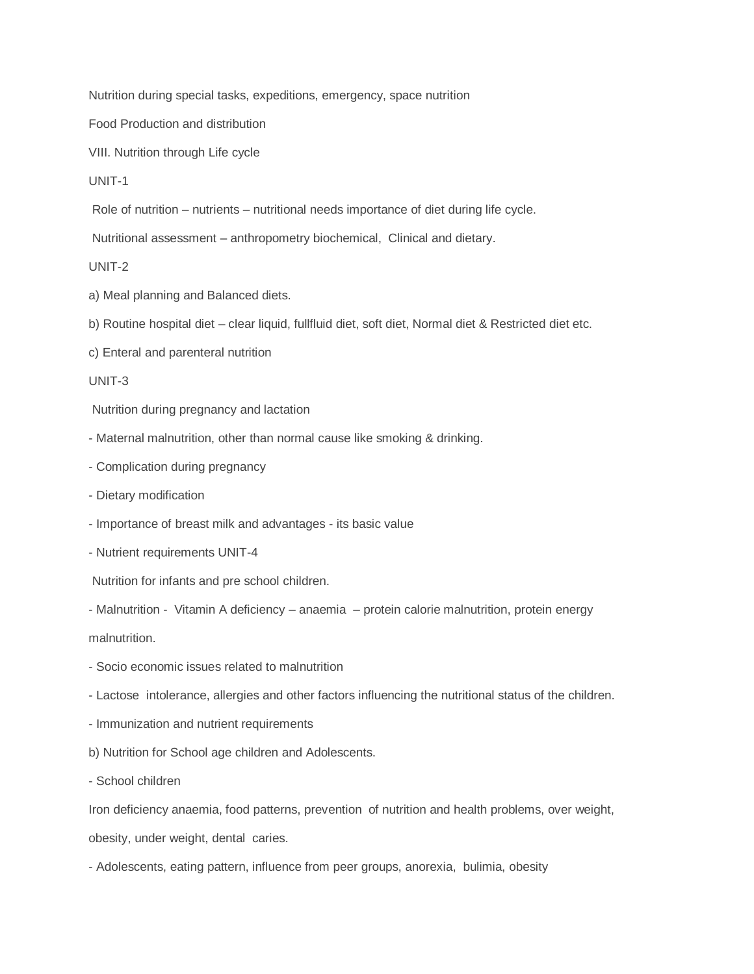Nutrition during special tasks, expeditions, emergency, space nutrition

Food Production and distribution

VIII. Nutrition through Life cycle

UNIT-1

Role of nutrition – nutrients – nutritional needs importance of diet during life cycle.

Nutritional assessment – anthropometry biochemical, Clinical and dietary.

UNIT-2

a) Meal planning and Balanced diets.

b) Routine hospital diet – clear liquid, fullfluid diet, soft diet, Normal diet & Restricted diet etc.

c) Enteral and parenteral nutrition

UNIT-3

Nutrition during pregnancy and lactation

- Maternal malnutrition, other than normal cause like smoking & drinking.
- Complication during pregnancy
- Dietary modification
- Importance of breast milk and advantages its basic value
- Nutrient requirements UNIT-4

Nutrition for infants and pre school children.

- Malnutrition - Vitamin A deficiency – anaemia – protein calorie malnutrition, protein energy

malnutrition.

- Socio economic issues related to malnutrition
- Lactose intolerance, allergies and other factors influencing the nutritional status of the children.
- Immunization and nutrient requirements
- b) Nutrition for School age children and Adolescents.
- School children

Iron deficiency anaemia, food patterns, prevention of nutrition and health problems, over weight, obesity, under weight, dental caries.

- Adolescents, eating pattern, influence from peer groups, anorexia, bulimia, obesity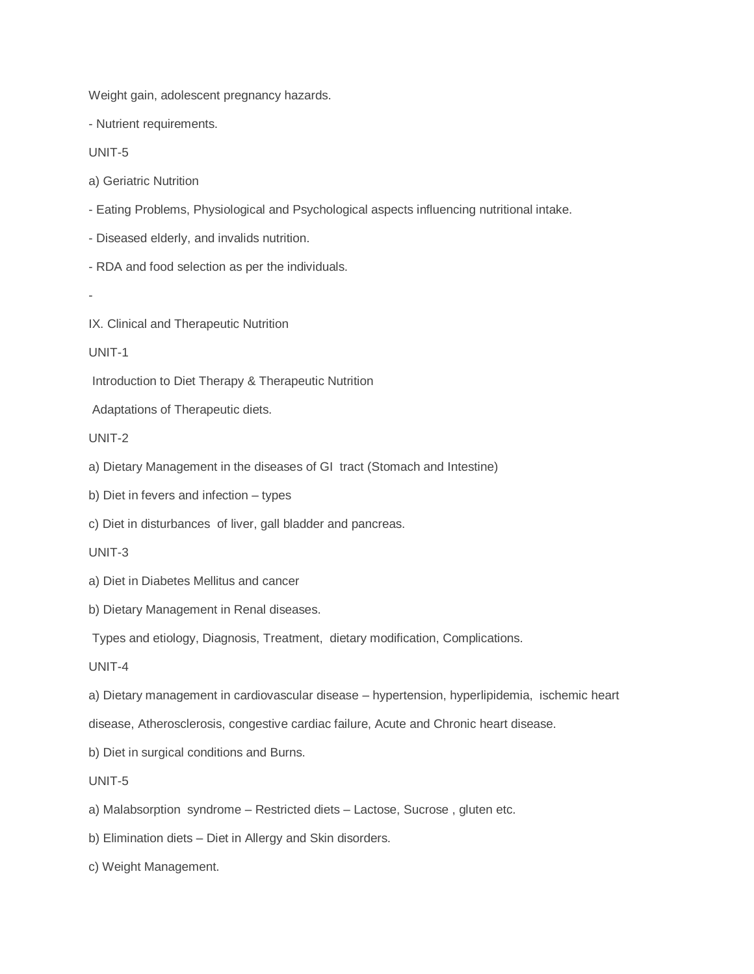Weight gain, adolescent pregnancy hazards.

- Nutrient requirements.

UNIT-5

a) Geriatric Nutrition

- Eating Problems, Physiological and Psychological aspects influencing nutritional intake.
- Diseased elderly, and invalids nutrition.
- RDA and food selection as per the individuals.
- -
- IX. Clinical and Therapeutic Nutrition

UNIT-1

Introduction to Diet Therapy & Therapeutic Nutrition

Adaptations of Therapeutic diets.

UNIT-2

- a) Dietary Management in the diseases of GI tract (Stomach and Intestine)
- b) Diet in fevers and infection types
- c) Diet in disturbances of liver, gall bladder and pancreas.

UNIT-3

- a) Diet in Diabetes Mellitus and cancer
- b) Dietary Management in Renal diseases.

Types and etiology, Diagnosis, Treatment, dietary modification, Complications.

UNIT-4

a) Dietary management in cardiovascular disease – hypertension, hyperlipidemia, ischemic heart

disease, Atherosclerosis, congestive cardiac failure, Acute and Chronic heart disease.

b) Diet in surgical conditions and Burns.

UNIT-5

- a) Malabsorption syndrome Restricted diets Lactose, Sucrose , gluten etc.
- b) Elimination diets Diet in Allergy and Skin disorders.
- c) Weight Management.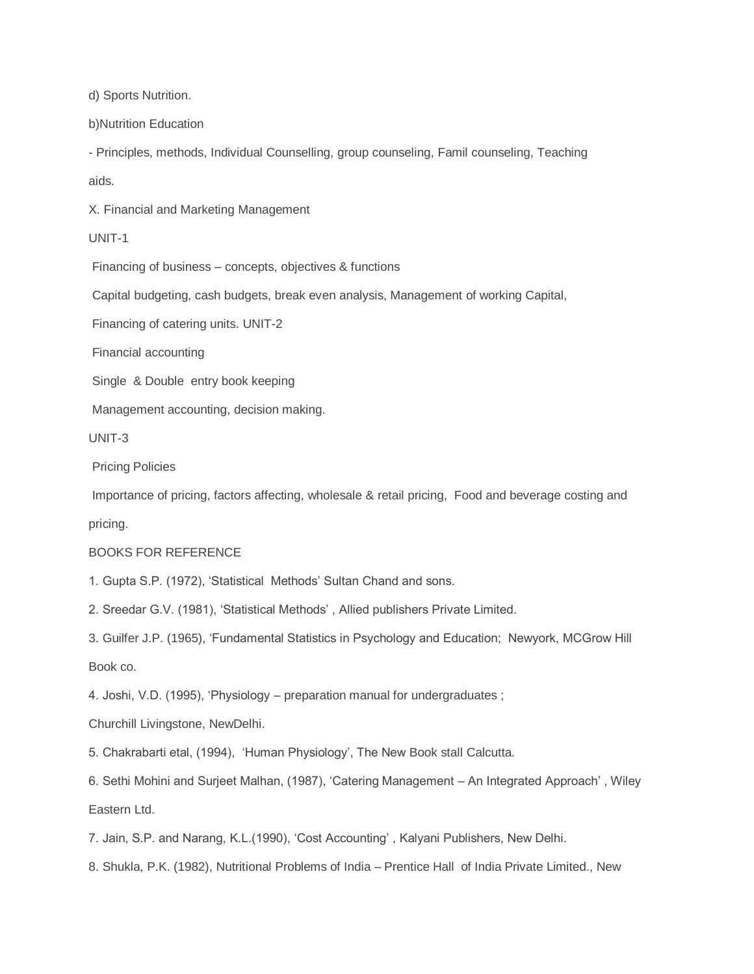d) Sports Nutrition.

b)Nutrition Education

- Principles, methods, Individual Counselling, group counseling, Famil counseling, Teaching aids.

X. Financial and Marketing Management

UNIT-1

Financing of business – concepts, objectives & functions

Capital budgeting, cash budgets, break even analysis, Management of working Capital,

Financing of catering units. UNIT-2

Financial accounting

Single & Double entry book keeping

Management accounting, decision making.

UNIT-3

Pricing Policies

Importance of pricing, factors affecting, wholesale & retail pricing, Food and beverage costing and pricing.

## BOOKS FOR REFERENCE

1. Gupta S.P. (1972), "Statistical Methods" Sultan Chand and sons.

2. Sreedar G.V. (1981), "Statistical Methods" , Allied publishers Private Limited.

3. Guilfer J.P. (1965), "Fundamental Statistics in Psychology and Education; Newyork, MCGrow Hill Book co.

4. Joshi, V.D. (1995), "Physiology – preparation manual for undergraduates ;

Churchill Livingstone, NewDelhi.

5. Chakrabarti etal, (1994), "Human Physiology", The New Book stall Calcutta.

6. Sethi Mohini and Surjeet Malhan, (1987), "Catering Management – An Integrated Approach" , Wiley Eastern Ltd.

7. Jain, S.P. and Narang, K.L.(1990), "Cost Accounting" , Kalyani Publishers, New Delhi.

8. Shukla, P.K. (1982), Nutritional Problems of India – Prentice Hall of India Private Limited., New